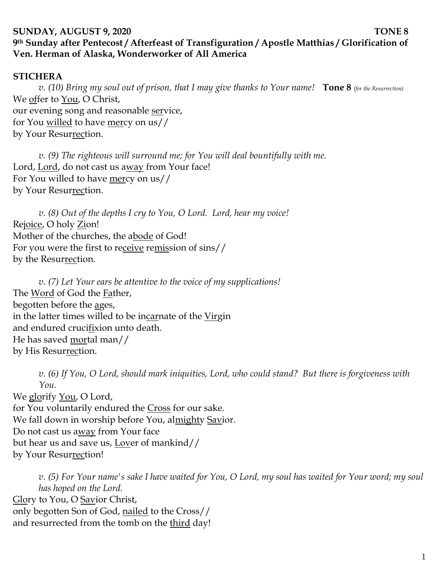## **SUNDAY, AUGUST 9, 2020 TONE 8 9th Sunday after Pentecost / Afterfeast of Transfiguration / Apostle Matthias / Glorification of Ven. Herman of Alaska, Wonderworker of All America**

## **STICHERA**

*v. (10) Bring my soul out of prison, that I may give thanks to Your name!* **Tone 8** *(for the Resurrection)*  We offer to You, O Christ, our evening song and reasonable service, for You willed to have mercy on us// by Your Resurrection.

*v. (9) The righteous will surround me; for You will deal bountifully with me.*  Lord, Lord, do not cast us away from Your face! For You willed to have mercy on us// by Your Resurrection.

*v. (8) Out of the depths I cry to You, O Lord. Lord, hear my voice!*  Rejoice, O holy Zion! Mother of the churches, the abode of God! For you were the first to receive remission of sins// by the Resurrection.

*v. (7) Let Your ears be attentive to the voice of my supplications!* The Word of God the Father, begotten before the ages, in the latter times willed to be incarnate of the Virgin and endured crucifixion unto death. He has saved mortal man// by His Resurrection.

*v. (6) If You, O Lord, should mark iniquities, Lord, who could stand? But there is forgiveness with You.*  We glorify <u>You</u>, O Lord, for You voluntarily endured the Cross for our sake. We fall down in worship before You, almighty Savior. Do not cast us away from Your face but hear us and save us, Lover of mankind// by Your Resurrection!

*v. (5) For Your name's sake I have waited for You, O Lord, my soul has waited for Your word; my soul has hoped on the Lord.*  Glory to You, O Savior Christ, only begotten Son of God, nailed to the Cross// and resurrected from the tomb on the third day!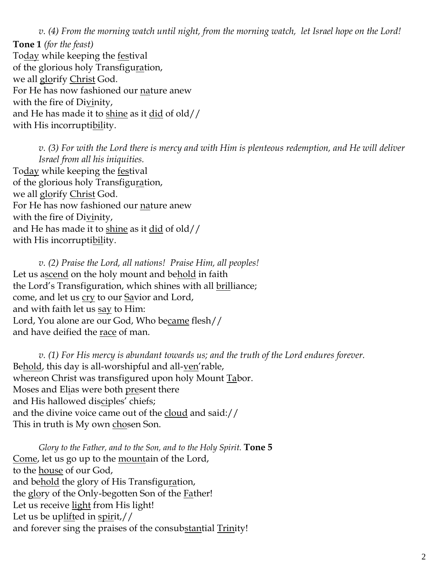*v.* (4) From the morning watch until night, from the morning watch, let Israel hope on the Lord! **Tone 1** *(for the feast)* Today while keeping the festival of the glorious holy Transfiguration, we all glorify Christ God. For He has now fashioned our nature anew with the fire of Divinity, and He has made it to shine as it did of old// with His incorruptibility.

*v. (3) For with the Lord there is mercy and with Him is plenteous redemption, and He will deliver Israel from all his iniquities.* Today while keeping the festival of the glorious holy Transfiguration, we all glorify Christ God. For He has now fashioned our nature anew with the fire of Divinity, and He has made it to shine as it did of old// with His incorruptibility.

*v. (2) Praise the Lord, all nations! Praise Him, all peoples!* Let us ascend on the holy mount and behold in faith the Lord's Transfiguration, which shines with all **brilliance**; come, and let us cry to our Savior and Lord, and with faith let us say to Him: Lord, You alone are our God, Who became flesh// and have deified the race of man.

*v. (1) For His mercy is abundant towards us; and the truth of the Lord endures forever.*  Behold, this day is all-worshipful and all-ven'rable, whereon Christ was transfigured upon holy Mount Tabor. Moses and Elias were both present there and His hallowed disciples' chiefs; and the divine voice came out of the cloud and said:// This in truth is My own chosen Son.

*Glory to the Father, and to the Son, and to the Holy Spirit.* **Tone 5** Come, let us go up to the mountain of the Lord, to the house of our God, and behold the glory of His Transfiguration, the glory of the Only-begotten Son of the Father! Let us receive light from His light! Let us be uplifted in spirit,// and forever sing the praises of the consubstantial Trinity!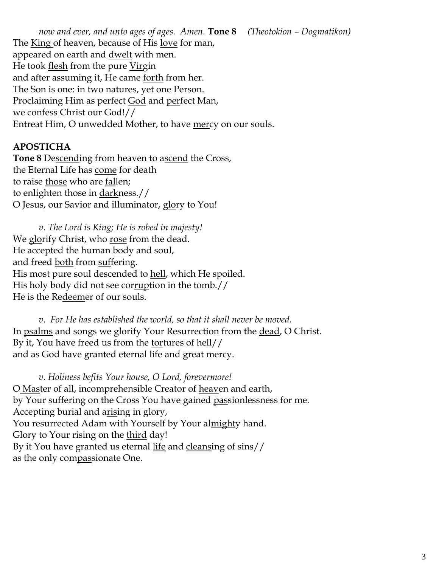*now and ever, and unto ages of ages. Amen.* **Tone 8** *(Theotokion – Dogmatikon)* The King of heaven, because of His love for man, appeared on earth and dwelt with men. He took flesh from the pure Virgin and after assuming it, He came forth from her. The Son is one: in two natures, yet one Person. Proclaiming Him as perfect God and perfect Man,

we confess Christ our God!//

Entreat Him, O unwedded Mother, to have mercy on our souls.

## **APOSTICHA**

**Tone 8** Descending from heaven to ascend the Cross, the Eternal Life has come for death to raise those who are fallen; to enlighten those in darkness.// O Jesus, our Savior and illuminator, glory to You!

*v. The Lord is King; He is robed in majesty!*  We glorify Christ, who rose from the dead. He accepted the human body and soul, and freed both from suffering. His most pure soul descended to hell, which He spoiled. His holy body did not see corruption in the tomb.// He is the Redeemer of our souls.

*v. For He has established the world, so that it shall never be moved.* In psalms and songs we glorify Your Resurrection from the dead, O Christ. By it, You have freed us from the tortures of hell// and as God have granted eternal life and great mercy.

*v. Holiness befits Your house, O Lord, forevermore!*  O Master of all, incomprehensible Creator of heaven and earth, by Your suffering on the Cross You have gained passionlessness for me. Accepting burial and arising in glory, You resurrected Adam with Yourself by Your almighty hand. Glory to Your rising on the <u>third</u> day! By it You have granted us eternal life and cleansing of sins// as the only compassionate One.